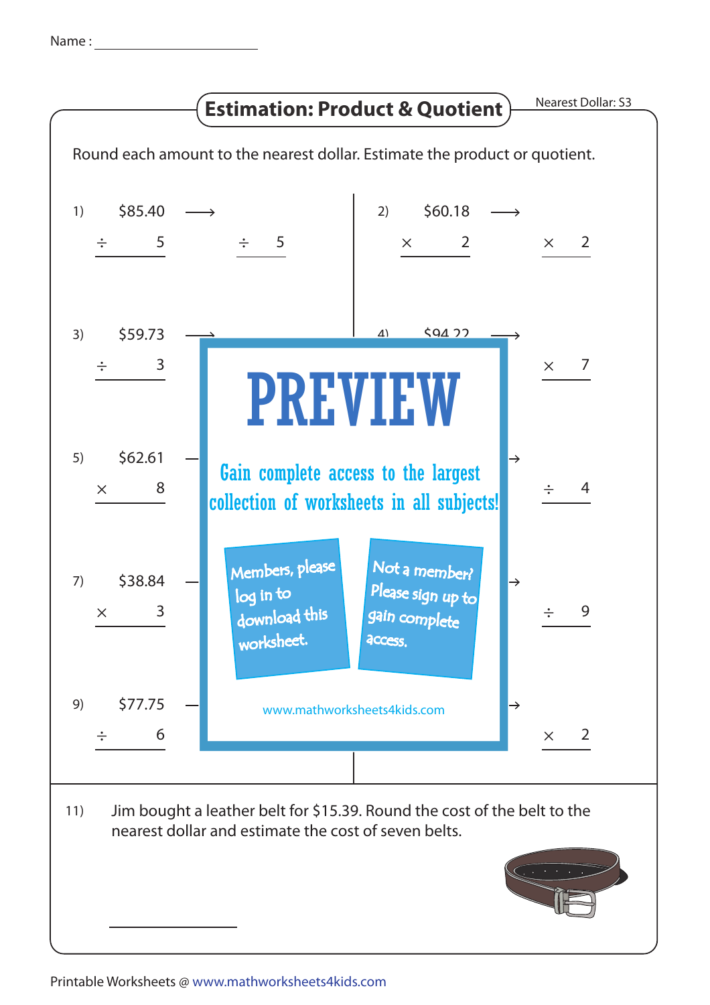